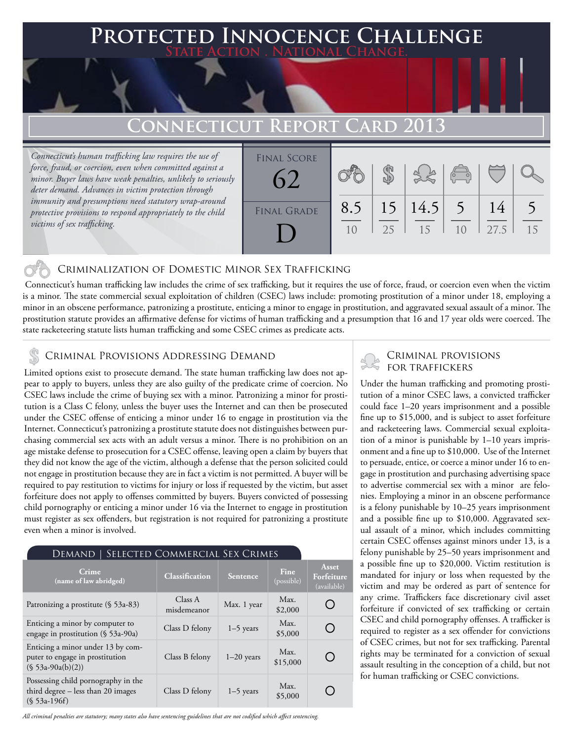## **Protected Innocence Challenge State Action . National Change. Connecticut Report Card 2013** *Connecticut's human trafficking law requires the use of force, fraud, or coercion, even when committed against a minor. Buyer laws have weak penalties, unlikely to seriously*  \$ Final Score 62

10

25

15

8.5

### Criminalization of Domestic Minor Sex Trafficking

 Connecticut's human trafficking law includes the crime of sex trafficking, but it requires the use of force, fraud, or coercion even when the victim is a minor. The state commercial sexual exploitation of children (CSEC) laws include: promoting prostitution of a minor under 18, employing a minor in an obscene performance, patronizing a prostitute, enticing a minor to engage in prostitution, and aggravated sexual assault of a minor. The prostitution statute provides an affirmative defense for victims of human trafficking and a presumption that 16 and 17 year olds were coerced. The state racketeering statute lists human trafficking and some CSEC crimes as predicate acts.

FINAL GRADE

D

**Asset Forfeiture** 

# CRIMINAL PROVISIONS ADDRESSING DEMAND<br>
FOR TRAFFICKERS \$ FOR TRAFFICKERS

*deter demand. Advances in victim protection through immunity and presumptions need statutory wrap-around protective provisions to respond appropriately to the child* 

*victims of sex trafficking.*

Limited options exist to prosecute demand. The state human trafficking law does not appear to apply to buyers, unless they are also guilty of the predicate crime of coercion. No CSEC laws include the crime of buying sex with a minor. Patronizing a minor for prostitution is a Class C felony, unless the buyer uses the Internet and can then be prosecuted under the CSEC offense of enticing a minor under 16 to engage in prostitution via the Internet. Connecticut's patronizing a prostitute statute does not distinguishes between purchasing commercial sex acts with an adult versus a minor. There is no prohibition on an age mistake defense to prosecution for a CSEC offense, leaving open a claim by buyers that they did not know the age of the victim, although a defense that the person solicited could not engage in prostitution because they are in fact a victim is not permitted. A buyer will be required to pay restitution to victims for injury or loss if requested by the victim, but asset forfeiture does not apply to offenses committed by buyers. Buyers convicted of possessing child pornography or enticing a minor under 16 via the Internet to engage in prostitution must register as sex offenders, but registration is not required for patronizing a prostitute even when a minor is involved.

|                                        | Demand   Selected Commercial Sex Crimes |                 |                    |  |
|----------------------------------------|-----------------------------------------|-----------------|--------------------|--|
| <b>Crime</b><br>(name of law abridged) | <b>Classification</b>                   | <b>Sentence</b> | Fine<br>(possible) |  |

| $\frac{1}{2}$                                                                               |                        |              | $V_{\rm 1}$      | (available) |
|---------------------------------------------------------------------------------------------|------------------------|--------------|------------------|-------------|
| Patronizing a prostitute $(\S 53a-83)$                                                      | Class A<br>misdemeanor | Max. 1 year  | Max.<br>\$2,000  |             |
| Enticing a minor by computer to<br>engage in prostitution (§ 53a-90a)                       | Class D felony         | $1-5$ years  | Max.<br>\$5,000  |             |
| Enticing a minor under 13 by com-<br>puter to engage in prostitution<br>$(S 53a-90a(b)(2))$ | Class B felony         | $1-20$ years | Max.<br>\$15,000 |             |
| Possessing child pornography in the<br>third degree – less than 20 images<br>$(S 53a-196f)$ | Class D felony         | $1-5$ years  | Max.<br>\$5,000  |             |

*All criminal penalties are statutory; many states also have sentencing guidelines that are not codified which affect sentencing.* 

15

 $1<sub>0</sub>$ 

27.5

15

5

14

5

14.5

Under the human trafficking and promoting prostitution of a minor CSEC laws, a convicted trafficker could face 1–20 years imprisonment and a possible fine up to \$15,000, and is subject to asset forfeiture and racketeering laws. Commercial sexual exploitation of a minor is punishable by 1–10 years imprisonment and a fine up to \$10,000. Use of the Internet to persuade, entice, or coerce a minor under 16 to engage in prostitution and purchasing advertising space to advertise commercial sex with a minor are felonies. Employing a minor in an obscene performance is a felony punishable by 10–25 years imprisonment and a possible fine up to \$10,000. Aggravated sexual assault of a minor, which includes committing certain CSEC offenses against minors under 13, is a felony punishable by 25–50 years imprisonment and a possible fine up to \$20,000. Victim restitution is mandated for injury or loss when requested by the victim and may be ordered as part of sentence for any crime. Traffickers face discretionary civil asset forfeiture if convicted of sex trafficking or certain CSEC and child pornography offenses. A trafficker is required to register as a sex offender for convictions of CSEC crimes, but not for sex trafficking. Parental rights may be terminated for a conviction of sexual assault resulting in the conception of a child, but not for human trafficking or CSEC convictions.